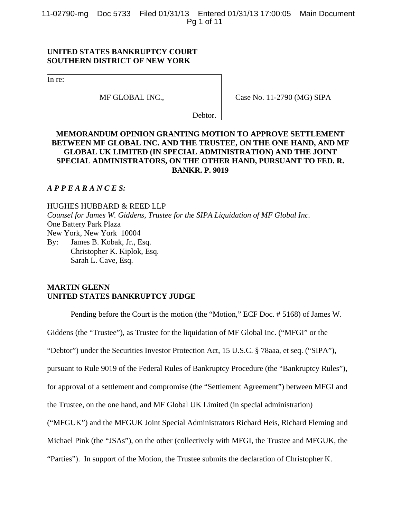11-02790-mg Doc 5733 Filed 01/31/13 Entered 01/31/13 17:00:05 Main Document Pg 1 of 11

## **UNITED STATES BANKRUPTCY COURT SOUTHERN DISTRICT OF NEW YORK**

In re:

MF GLOBAL INC.,

Case No. 11-2790 (MG) SIPA

Debtor.

# **MEMORANDUM OPINION GRANTING MOTION TO APPROVE SETTLEMENT BETWEEN MF GLOBAL INC. AND THE TRUSTEE, ON THE ONE HAND, AND MF GLOBAL UK LIMITED (IN SPECIAL ADMINISTRATION) AND THE JOINT SPECIAL ADMINISTRATORS, ON THE OTHER HAND, PURSUANT TO FED. R. BANKR. P. 9019**

## *A P P E A R A N C E S:*

HUGHES HUBBARD & REED LLP *Counsel for James W. Giddens, Trustee for the SIPA Liquidation of MF Global Inc.* One Battery Park Plaza New York, New York 10004 By: James B. Kobak, Jr., Esq. Christopher K. Kiplok, Esq. Sarah L. Cave, Esq.

# **MARTIN GLENN UNITED STATES BANKRUPTCY JUDGE**

Pending before the Court is the motion (the "Motion," ECF Doc. # 5168) of James W.

Giddens (the "Trustee"), as Trustee for the liquidation of MF Global Inc. ("MFGI" or the

"Debtor") under the Securities Investor Protection Act, 15 U.S.C. § 78aaa, et seq. ("SIPA"),

pursuant to Rule 9019 of the Federal Rules of Bankruptcy Procedure (the "Bankruptcy Rules"),

for approval of a settlement and compromise (the "Settlement Agreement") between MFGI and

the Trustee, on the one hand, and MF Global UK Limited (in special administration)

("MFGUK") and the MFGUK Joint Special Administrators Richard Heis, Richard Fleming and

Michael Pink (the "JSAs"), on the other (collectively with MFGI, the Trustee and MFGUK, the

"Parties"). In support of the Motion, the Trustee submits the declaration of Christopher K.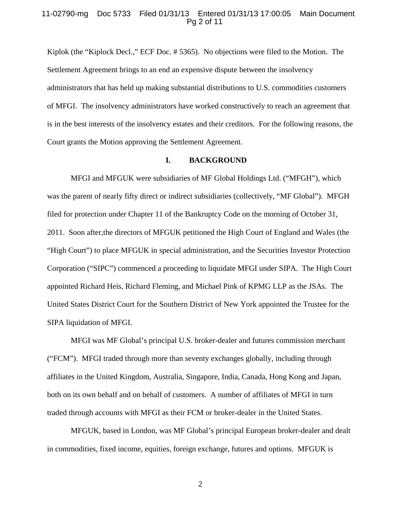### 11-02790-mg Doc 5733 Filed 01/31/13 Entered 01/31/13 17:00:05 Main Document Pg 2 of 11

Kiplok (the "Kiplock Decl.," ECF Doc. # 5365). No objections were filed to the Motion. The Settlement Agreement brings to an end an expensive dispute between the insolvency administrators that has held up making substantial distributions to U.S. commodities customers of MFGI. The insolvency administrators have worked constructively to reach an agreement that is in the best interests of the insolvency estates and their creditors. For the following reasons, the Court grants the Motion approving the Settlement Agreement.

#### **I. BACKGROUND**

MFGI and MFGUK were subsidiaries of MF Global Holdings Ltd. ("MFGH"), which was the parent of nearly fifty direct or indirect subsidiaries (collectively, "MF Global"). MFGH filed for protection under Chapter 11 of the Bankruptcy Code on the morning of October 31, 2011. Soon after,the directors of MFGUK petitioned the High Court of England and Wales (the "High Court") to place MFGUK in special administration, and the Securities Investor Protection Corporation ("SIPC") commenced a proceeding to liquidate MFGI under SIPA. The High Court appointed Richard Heis, Richard Fleming, and Michael Pink of KPMG LLP as the JSAs. The United States District Court for the Southern District of New York appointed the Trustee for the SIPA liquidation of MFGI.

MFGI was MF Global's principal U.S. broker-dealer and futures commission merchant ("FCM"). MFGI traded through more than seventy exchanges globally, including through affiliates in the United Kingdom, Australia, Singapore, India, Canada, Hong Kong and Japan, both on its own behalf and on behalf of customers. A number of affiliates of MFGI in turn traded through accounts with MFGI as their FCM or broker-dealer in the United States.

MFGUK, based in London, was MF Global's principal European broker-dealer and dealt in commodities, fixed income, equities, foreign exchange, futures and options. MFGUK is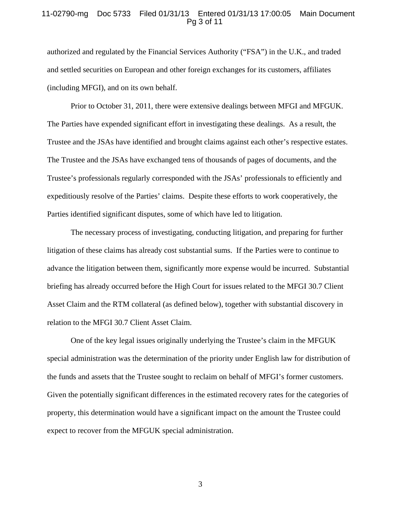### 11-02790-mg Doc 5733 Filed 01/31/13 Entered 01/31/13 17:00:05 Main Document Pg 3 of 11

authorized and regulated by the Financial Services Authority ("FSA") in the U.K., and traded and settled securities on European and other foreign exchanges for its customers, affiliates (including MFGI), and on its own behalf.

Prior to October 31, 2011, there were extensive dealings between MFGI and MFGUK. The Parties have expended significant effort in investigating these dealings. As a result, the Trustee and the JSAs have identified and brought claims against each other's respective estates. The Trustee and the JSAs have exchanged tens of thousands of pages of documents, and the Trustee's professionals regularly corresponded with the JSAs' professionals to efficiently and expeditiously resolve of the Parties' claims. Despite these efforts to work cooperatively, the Parties identified significant disputes, some of which have led to litigation.

The necessary process of investigating, conducting litigation, and preparing for further litigation of these claims has already cost substantial sums. If the Parties were to continue to advance the litigation between them, significantly more expense would be incurred. Substantial briefing has already occurred before the High Court for issues related to the MFGI 30.7 Client Asset Claim and the RTM collateral (as defined below), together with substantial discovery in relation to the MFGI 30.7 Client Asset Claim.

One of the key legal issues originally underlying the Trustee's claim in the MFGUK special administration was the determination of the priority under English law for distribution of the funds and assets that the Trustee sought to reclaim on behalf of MFGI's former customers. Given the potentially significant differences in the estimated recovery rates for the categories of property, this determination would have a significant impact on the amount the Trustee could expect to recover from the MFGUK special administration.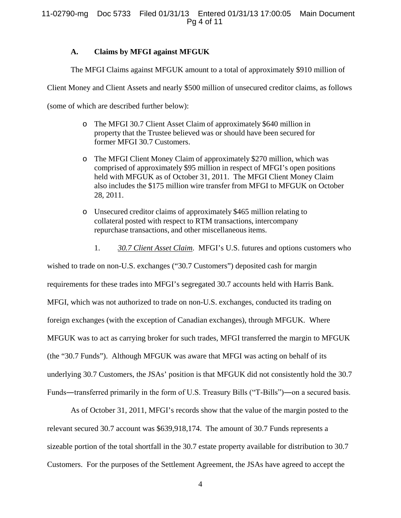# **A. Claims by MFGI against MFGUK**

The MFGI Claims against MFGUK amount to a total of approximately \$910 million of

Client Money and Client Assets and nearly \$500 million of unsecured creditor claims, as follows

(some of which are described further below):

- o The MFGI 30.7 Client Asset Claim of approximately \$640 million in property that the Trustee believed was or should have been secured for former MFGI 30.7 Customers.
- o The MFGI Client Money Claim of approximately \$270 million, which was comprised of approximately \$95 million in respect of MFGI's open positions held with MFGUK as of October 31, 2011. The MFGI Client Money Claim also includes the \$175 million wire transfer from MFGI to MFGUK on October 28, 2011.
- o Unsecured creditor claims of approximately \$465 million relating to collateral posted with respect to RTM transactions, intercompany repurchase transactions, and other miscellaneous items.
	- 1. *30.7 Client Asset Claim*. MFGI's U.S. futures and options customers who

wished to trade on non-U.S. exchanges ("30.7 Customers") deposited cash for margin requirements for these trades into MFGI's segregated 30.7 accounts held with Harris Bank. MFGI, which was not authorized to trade on non-U.S. exchanges, conducted its trading on foreign exchanges (with the exception of Canadian exchanges), through MFGUK. Where MFGUK was to act as carrying broker for such trades, MFGI transferred the margin to MFGUK (the "30.7 Funds"). Although MFGUK was aware that MFGI was acting on behalf of its underlying 30.7 Customers, the JSAs' position is that MFGUK did not consistently hold the 30.7 Funds—transferred primarily in the form of U.S. Treasury Bills ("T-Bills")—on a secured basis.

As of October 31, 2011, MFGI's records show that the value of the margin posted to the relevant secured 30.7 account was \$639,918,174. The amount of 30.7 Funds represents a sizeable portion of the total shortfall in the 30.7 estate property available for distribution to 30.7 Customers. For the purposes of the Settlement Agreement, the JSAs have agreed to accept the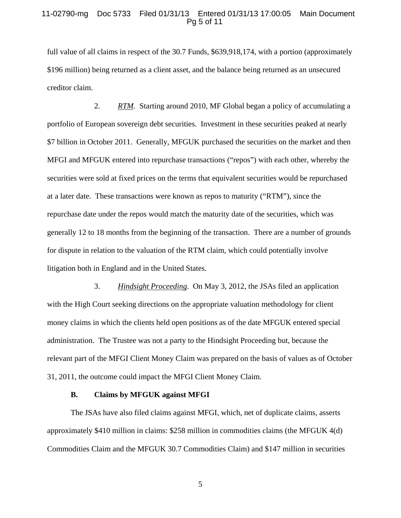## 11-02790-mg Doc 5733 Filed 01/31/13 Entered 01/31/13 17:00:05 Main Document Pg 5 of 11

full value of all claims in respect of the 30.7 Funds, \$639,918,174, with a portion (approximately \$196 million) being returned as a client asset, and the balance being returned as an unsecured creditor claim.

2. *RTM*. Starting around 2010, MF Global began a policy of accumulating a portfolio of European sovereign debt securities. Investment in these securities peaked at nearly \$7 billion in October 2011. Generally, MFGUK purchased the securities on the market and then MFGI and MFGUK entered into repurchase transactions ("repos") with each other, whereby the securities were sold at fixed prices on the terms that equivalent securities would be repurchased at a later date. These transactions were known as repos to maturity ("RTM"), since the repurchase date under the repos would match the maturity date of the securities, which was generally 12 to 18 months from the beginning of the transaction. There are a number of grounds for dispute in relation to the valuation of the RTM claim, which could potentially involve litigation both in England and in the United States.

3. *Hindsight Proceeding*. On May 3, 2012, the JSAs filed an application with the High Court seeking directions on the appropriate valuation methodology for client money claims in which the clients held open positions as of the date MFGUK entered special administration. The Trustee was not a party to the Hindsight Proceeding but, because the relevant part of the MFGI Client Money Claim was prepared on the basis of values as of October 31, 2011, the outcome could impact the MFGI Client Money Claim.

#### **B. Claims by MFGUK against MFGI**

The JSAs have also filed claims against MFGI, which, net of duplicate claims, asserts approximately \$410 million in claims: \$258 million in commodities claims (the MFGUK 4(d) Commodities Claim and the MFGUK 30.7 Commodities Claim) and \$147 million in securities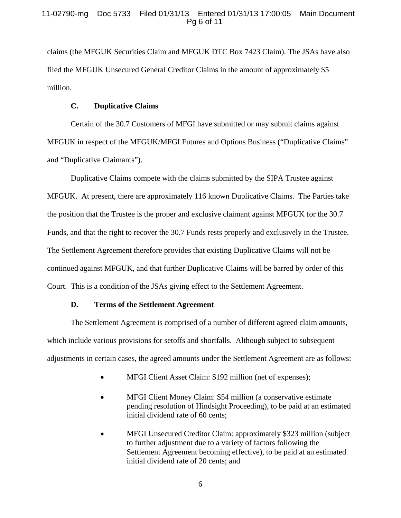claims (the MFGUK Securities Claim and MFGUK DTC Box 7423 Claim). The JSAs have also filed the MFGUK Unsecured General Creditor Claims in the amount of approximately \$5 million.

# **C. Duplicative Claims**

Certain of the 30.7 Customers of MFGI have submitted or may submit claims against MFGUK in respect of the MFGUK/MFGI Futures and Options Business ("Duplicative Claims" and "Duplicative Claimants").

Duplicative Claims compete with the claims submitted by the SIPA Trustee against MFGUK. At present, there are approximately 116 known Duplicative Claims. The Parties take the position that the Trustee is the proper and exclusive claimant against MFGUK for the 30.7 Funds, and that the right to recover the 30.7 Funds rests properly and exclusively in the Trustee. The Settlement Agreement therefore provides that existing Duplicative Claims will not be continued against MFGUK, and that further Duplicative Claims will be barred by order of this Court. This is a condition of the JSAs giving effect to the Settlement Agreement.

## **D. Terms of the Settlement Agreement**

The Settlement Agreement is comprised of a number of different agreed claim amounts, which include various provisions for setoffs and shortfalls. Although subject to subsequent adjustments in certain cases, the agreed amounts under the Settlement Agreement are as follows:

- MFGI Client Asset Claim: \$192 million (net of expenses);
- MFGI Client Money Claim: \$54 million (a conservative estimate pending resolution of Hindsight Proceeding), to be paid at an estimated initial dividend rate of 60 cents;
- MFGI Unsecured Creditor Claim: approximately \$323 million (subject to further adjustment due to a variety of factors following the Settlement Agreement becoming effective), to be paid at an estimated initial dividend rate of 20 cents; and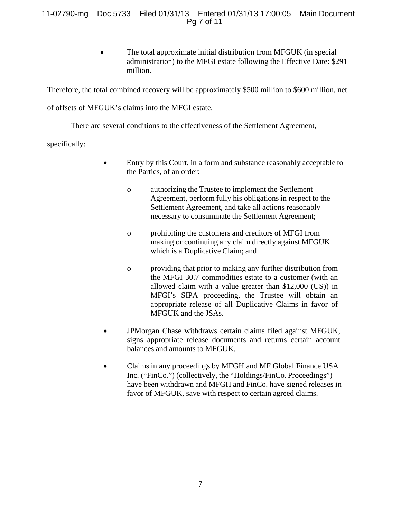# 11-02790-mg Doc 5733 Filed 01/31/13 Entered 01/31/13 17:00:05 Main Document Pg 7 of 11

The total approximate initial distribution from MFGUK (in special administration) to the MFGI estate following the Effective Date: \$291 million.

Therefore, the total combined recovery will be approximately \$500 million to \$600 million, net

of offsets of MFGUK's claims into the MFGI estate.

There are several conditions to the effectiveness of the Settlement Agreement,

specifically:

- Entry by this Court, in a form and substance reasonably acceptable to the Parties, of an order:
	- ο authorizing the Trustee to implement the Settlement Agreement, perform fully his obligations in respect to the Settlement Agreement, and take all actions reasonably necessary to consummate the Settlement Agreement;
	- ο prohibiting the customers and creditors of MFGI from making or continuing any claim directly against MFGUK which is a Duplicative Claim; and
	- ο providing that prior to making any further distribution from the MFGI 30.7 commodities estate to a customer (with an allowed claim with a value greater than \$12,000 (US)) in MFGI's SIPA proceeding, the Trustee will obtain an appropriate release of all Duplicative Claims in favor of MFGUK and the JSAs.
- JPMorgan Chase withdraws certain claims filed against MFGUK, signs appropriate release documents and returns certain account balances and amounts to MFGUK.
- Claims in any proceedings by MFGH and MF Global Finance USA Inc. ("FinCo.") (collectively, the "Holdings/FinCo. Proceedings") have been withdrawn and MFGH and FinCo. have signed releases in favor of MFGUK, save with respect to certain agreed claims.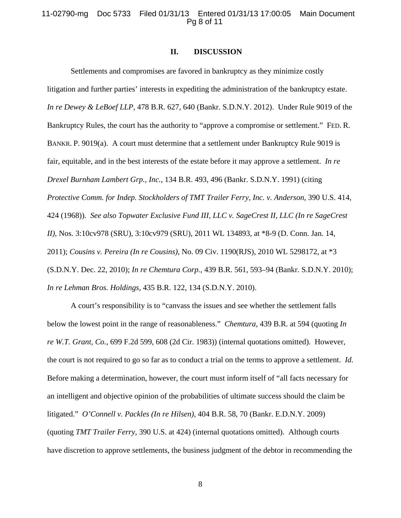## 11-02790-mg Doc 5733 Filed 01/31/13 Entered 01/31/13 17:00:05 Main Document Pg 8 of 11

## **II. DISCUSSION**

Settlements and compromises are favored in bankruptcy as they minimize costly litigation and further parties' interests in expediting the administration of the bankruptcy estate. *In re Dewey & LeBoef LLP*, 478 B.R. 627, 640 (Bankr. S.D.N.Y. 2012). Under Rule 9019 of the Bankruptcy Rules, the court has the authority to "approve a compromise or settlement." FED. R. BANKR. P. 9019(a). A court must determine that a settlement under Bankruptcy Rule 9019 is fair, equitable, and in the best interests of the estate before it may approve a settlement. *In re Drexel Burnham Lambert Grp., Inc.*, 134 B.R. 493, 496 (Bankr. S.D.N.Y. 1991) (citing *Protective Comm. for Indep. Stockholders of TMT Trailer Ferry, Inc. v. Anderson*, 390 U.S. 414, 424 (1968))*. See also Topwater Exclusive Fund III, LLC v. SageCrest II, LLC (In re SageCrest II)*, Nos. 3:10cv978 (SRU), 3:10cv979 (SRU), 2011 WL 134893, at \*8-9 (D. Conn. Jan. 14, 2011); *Cousins v. Pereira (In re Cousins)*, No. 09 Civ. 1190(RJS), 2010 WL 5298172, at \*3 (S.D.N.Y. Dec. 22, 2010); *In re Chemtura Corp.*, 439 B.R. 561, 593–94 (Bankr. S.D.N.Y. 2010); *In re Lehman Bros. Holdings*, 435 B.R. 122, 134 (S.D.N.Y. 2010).

A court's responsibility is to "canvass the issues and see whether the settlement falls below the lowest point in the range of reasonableness." *Chemtura*, 439 B.R. at 594 (quoting *In re W.T. Grant, Co.*, 699 F.2d 599, 608 (2d Cir. 1983)) (internal quotations omitted). However, the court is not required to go so far as to conduct a trial on the terms to approve a settlement. *Id.* Before making a determination, however, the court must inform itself of "all facts necessary for an intelligent and objective opinion of the probabilities of ultimate success should the claim be litigated." *O'Connell v. Packles (In re Hilsen)*, 404 B.R. 58, 70 (Bankr. E.D.N.Y. 2009) (quoting *TMT Trailer Ferry*, 390 U.S. at 424) (internal quotations omitted). Although courts have discretion to approve settlements, the business judgment of the debtor in recommending the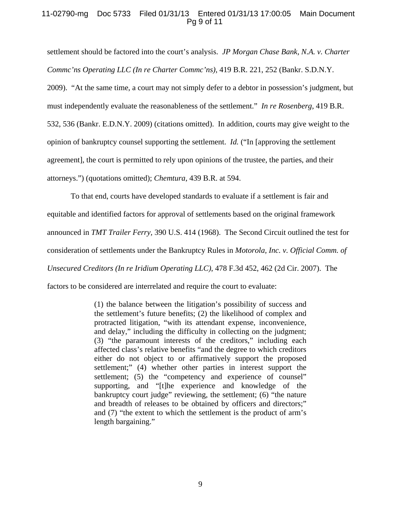# 11-02790-mg Doc 5733 Filed 01/31/13 Entered 01/31/13 17:00:05 Main Document Pg 9 of 11

settlement should be factored into the court's analysis. *JP Morgan Chase Bank, N.A. v. Charter Commc'ns Operating LLC (In re Charter Commc'ns)*, 419 B.R. 221, 252 (Bankr. S.D.N.Y. 2009). "At the same time, a court may not simply defer to a debtor in possession's judgment, but must independently evaluate the reasonableness of the settlement." *In re Rosenberg*, 419 B.R. 532, 536 (Bankr. E.D.N.Y. 2009) (citations omitted). In addition, courts may give weight to the opinion of bankruptcy counsel supporting the settlement. *Id.* ("In [approving the settlement agreement], the court is permitted to rely upon opinions of the trustee, the parties, and their attorneys.") (quotations omitted); *Chemtura*, 439 B.R. at 594.

To that end, courts have developed standards to evaluate if a settlement is fair and equitable and identified factors for approval of settlements based on the original framework announced in *TMT Trailer Ferry,* 390 U.S. 414 (1968). The Second Circuit outlined the test for consideration of settlements under the Bankruptcy Rules in *Motorola, Inc. v. Official Comm. of Unsecured Creditors (In re Iridium Operating LLC)*, 478 F.3d 452, 462 (2d Cir. 2007). The factors to be considered are interrelated and require the court to evaluate:

> (1) the balance between the litigation's possibility of success and the settlement's future benefits; (2) the likelihood of complex and protracted litigation, "with its attendant expense, inconvenience, and delay," including the difficulty in collecting on the judgment; (3) "the paramount interests of the creditors," including each affected class's relative benefits "and the degree to which creditors either do not object to or affirmatively support the proposed settlement;" (4) whether other parties in interest support the settlement; (5) the "competency and experience of counsel" supporting, and "[t]he experience and knowledge of the bankruptcy court judge" reviewing, the settlement; (6) "the nature and breadth of releases to be obtained by officers and directors;" and (7) "the extent to which the settlement is the product of arm's length bargaining."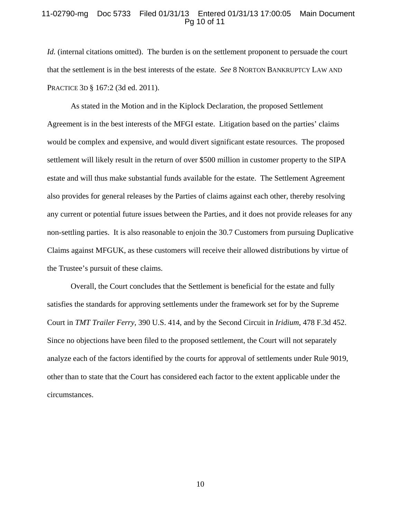### 11-02790-mg Doc 5733 Filed 01/31/13 Entered 01/31/13 17:00:05 Main Document Pg 10 of 11

*Id.* (internal citations omitted). The burden is on the settlement proponent to persuade the court that the settlement is in the best interests of the estate. *See* 8 NORTON BANKRUPTCY LAW AND PRACTICE 3D § 167:2 (3d ed. 2011).

As stated in the Motion and in the Kiplock Declaration, the proposed Settlement Agreement is in the best interests of the MFGI estate. Litigation based on the parties' claims would be complex and expensive, and would divert significant estate resources. The proposed settlement will likely result in the return of over \$500 million in customer property to the SIPA estate and will thus make substantial funds available for the estate. The Settlement Agreement also provides for general releases by the Parties of claims against each other, thereby resolving any current or potential future issues between the Parties, and it does not provide releases for any non-settling parties. It is also reasonable to enjoin the 30.7 Customers from pursuing Duplicative Claims against MFGUK, as these customers will receive their allowed distributions by virtue of the Trustee's pursuit of these claims.

Overall, the Court concludes that the Settlement is beneficial for the estate and fully satisfies the standards for approving settlements under the framework set for by the Supreme Court in *TMT Trailer Ferry,* 390 U.S. 414, and by the Second Circuit in *Iridium*, 478 F.3d 452. Since no objections have been filed to the proposed settlement, the Court will not separately analyze each of the factors identified by the courts for approval of settlements under Rule 9019, other than to state that the Court has considered each factor to the extent applicable under the circumstances.